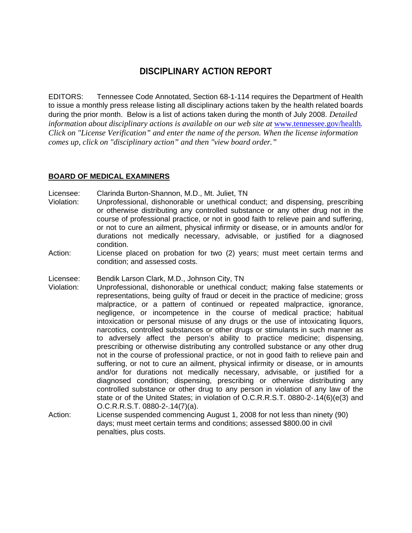# **DISCIPLINARY ACTION REPORT**

EDITORS: Tennessee Code Annotated, Section 68-1-114 requires the Department of Health to issue a monthly press release listing all disciplinary actions taken by the health related boards during the prior month. Below is a list of actions taken during the month of July 2008. *Detailed information about disciplinary actions is available on our web site at www.tennessee.gov/health. Click on "License Verification" and enter the name of the person. When the license information comes up, click on "disciplinary action" and then "view board order."* 

#### **BOARD OF MEDICAL EXAMINERS**

Licensee: Clarinda Burton-Shannon, M.D., Mt. Juliet, TN

- Violation: Unprofessional, dishonorable or unethical conduct; and dispensing, prescribing or otherwise distributing any controlled substance or any other drug not in the course of professional practice, or not in good faith to relieve pain and suffering, or not to cure an ailment, physical infirmity or disease, or in amounts and/or for durations not medically necessary, advisable, or justified for a diagnosed condition.
- Action: License placed on probation for two (2) years; must meet certain terms and condition; and assessed costs.

Licensee: Bendik Larson Clark, M.D., Johnson City, TN

- Violation: Unprofessional, dishonorable or unethical conduct; making false statements or representations, being guilty of fraud or deceit in the practice of medicine; gross malpractice, or a pattern of continued or repeated malpractice, ignorance, negligence, or incompetence in the course of medical practice; habitual intoxication or personal misuse of any drugs or the use of intoxicating liquors, narcotics, controlled substances or other drugs or stimulants in such manner as to adversely affect the person's ability to practice medicine; dispensing, prescribing or otherwise distributing any controlled substance or any other drug not in the course of professional practice, or not in good faith to relieve pain and suffering, or not to cure an ailment, physical infirmity or disease, or in amounts and/or for durations not medically necessary, advisable, or justified for a diagnosed condition; dispensing, prescribing or otherwise distributing any controlled substance or other drug to any person in violation of any law of the state or of the United States; in violation of O.C.R.R.S.T. 0880-2-.14(6)(e(3) and O.C.R.R.S.T. 0880-2-.14(7)(a).
- Action: License suspended commencing August 1, 2008 for not less than ninety (90) days; must meet certain terms and conditions; assessed \$800.00 in civil penalties, plus costs.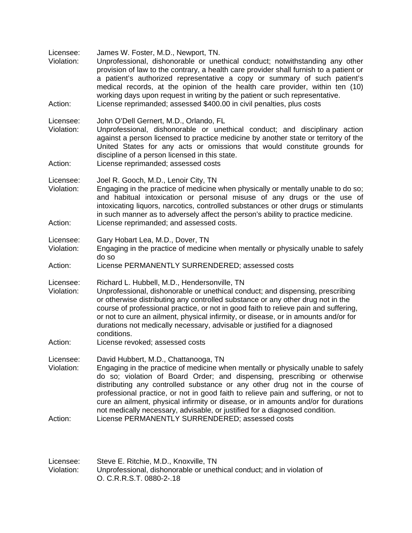| Licensee:<br>Violation: | James W. Foster, M.D., Newport, TN.<br>Unprofessional, dishonorable or unethical conduct; notwithstanding any other<br>provision of law to the contrary, a health care provider shall furnish to a patient or<br>a patient's authorized representative a copy or summary of such patient's<br>medical records, at the opinion of the health care provider, within ten (10)<br>working days upon request in writing by the patient or such representative.                                                                                           |
|-------------------------|-----------------------------------------------------------------------------------------------------------------------------------------------------------------------------------------------------------------------------------------------------------------------------------------------------------------------------------------------------------------------------------------------------------------------------------------------------------------------------------------------------------------------------------------------------|
| Action:                 | License reprimanded; assessed \$400.00 in civil penalties, plus costs                                                                                                                                                                                                                                                                                                                                                                                                                                                                               |
| Licensee:<br>Violation: | John O'Dell Gernert, M.D., Orlando, FL<br>Unprofessional, dishonorable or unethical conduct; and disciplinary action<br>against a person licensed to practice medicine by another state or territory of the<br>United States for any acts or omissions that would constitute grounds for<br>discipline of a person licensed in this state.                                                                                                                                                                                                          |
| Action:                 | License reprimanded; assessed costs                                                                                                                                                                                                                                                                                                                                                                                                                                                                                                                 |
| Licensee:<br>Violation: | Joel R. Gooch, M.D., Lenoir City, TN<br>Engaging in the practice of medicine when physically or mentally unable to do so;<br>and habitual intoxication or personal misuse of any drugs or the use of<br>intoxicating liquors, narcotics, controlled substances or other drugs or stimulants<br>in such manner as to adversely affect the person's ability to practice medicine.                                                                                                                                                                     |
| Action:                 | License reprimanded; and assessed costs.                                                                                                                                                                                                                                                                                                                                                                                                                                                                                                            |
| Licensee:<br>Violation: | Gary Hobart Lea, M.D., Dover, TN<br>Engaging in the practice of medicine when mentally or physically unable to safely<br>do so                                                                                                                                                                                                                                                                                                                                                                                                                      |
| Action:                 | License PERMANENTLY SURRENDERED; assessed costs                                                                                                                                                                                                                                                                                                                                                                                                                                                                                                     |
| Licensee:<br>Violation: | Richard L. Hubbell, M.D., Hendersonville, TN<br>Unprofessional, dishonorable or unethical conduct; and dispensing, prescribing<br>or otherwise distributing any controlled substance or any other drug not in the<br>course of professional practice, or not in good faith to relieve pain and suffering,<br>or not to cure an ailment, physical infirmity, or disease, or in amounts and/or for<br>durations not medically necessary, advisable or justified for a diagnosed<br>conditions.                                                        |
| Action:                 | License revoked; assessed costs                                                                                                                                                                                                                                                                                                                                                                                                                                                                                                                     |
| Licensee:<br>Violation: | David Hubbert, M.D., Chattanooga, TN<br>Engaging in the practice of medicine when mentally or physically unable to safely<br>do so; violation of Board Order; and dispensing, prescribing or otherwise<br>distributing any controlled substance or any other drug not in the course of<br>professional practice, or not in good faith to relieve pain and suffering, or not to<br>cure an ailment, physical infirmity or disease, or in amounts and/or for durations<br>not medically necessary, advisable, or justified for a diagnosed condition. |
| Action:                 | License PERMANENTLY SURRENDERED; assessed costs                                                                                                                                                                                                                                                                                                                                                                                                                                                                                                     |

| Licensee:  | Steve E. Ritchie, M.D., Knoxville, TN                                  |
|------------|------------------------------------------------------------------------|
| Violation: | Unprofessional, dishonorable or unethical conduct; and in violation of |
|            | O. C.R.R.S.T. 0880-2-.18                                               |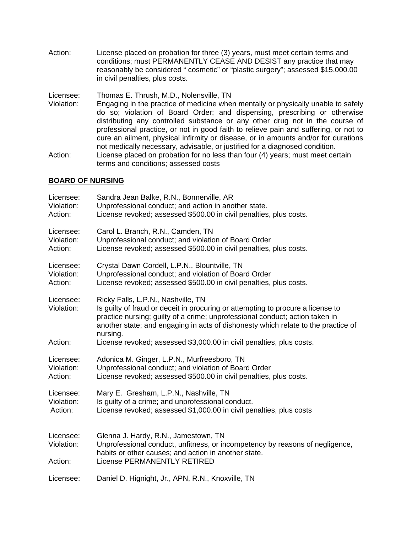Action: License placed on probation for three (3) years, must meet certain terms and conditions; must PERMANENTLY CEASE AND DESIST any practice that may reasonably be considered " cosmetic" or "plastic surgery"; assessed \$15,000.00 in civil penalties, plus costs.

Licensee: Thomas E. Thrush, M.D., Nolensville, TN

- Violation: Engaging in the practice of medicine when mentally or physically unable to safely do so; violation of Board Order; and dispensing, prescribing or otherwise distributing any controlled substance or any other drug not in the course of professional practice, or not in good faith to relieve pain and suffering, or not to cure an ailment, physical infirmity or disease, or in amounts and/or for durations not medically necessary, advisable, or justified for a diagnosed condition.
- Action: License placed on probation for no less than four (4) years; must meet certain terms and conditions; assessed costs

## **BOARD OF NURSING**

| Licensee:                          | Sandra Jean Balke, R.N., Bonnerville, AR                                                                                                                                                                                                                                                               |
|------------------------------------|--------------------------------------------------------------------------------------------------------------------------------------------------------------------------------------------------------------------------------------------------------------------------------------------------------|
| Violation:                         | Unprofessional conduct; and action in another state.                                                                                                                                                                                                                                                   |
| Action:                            | License revoked; assessed \$500.00 in civil penalties, plus costs.                                                                                                                                                                                                                                     |
| Licensee:                          | Carol L. Branch, R.N., Camden, TN                                                                                                                                                                                                                                                                      |
| Violation:                         | Unprofessional conduct; and violation of Board Order                                                                                                                                                                                                                                                   |
| Action:                            | License revoked; assessed \$500.00 in civil penalties, plus costs.                                                                                                                                                                                                                                     |
| Licensee:                          | Crystal Dawn Cordell, L.P.N., Blountville, TN                                                                                                                                                                                                                                                          |
| Violation:                         | Unprofessional conduct; and violation of Board Order                                                                                                                                                                                                                                                   |
| Action:                            | License revoked; assessed \$500.00 in civil penalties, plus costs.                                                                                                                                                                                                                                     |
| Licensee:<br>Violation:            | Ricky Falls, L.P.N., Nashville, TN<br>Is guilty of fraud or deceit in procuring or attempting to procure a license to<br>practice nursing; guilty of a crime; unprofessional conduct; action taken in<br>another state; and engaging in acts of dishonesty which relate to the practice of<br>nursing. |
| Action:                            | License revoked; assessed \$3,000.00 in civil penalties, plus costs.                                                                                                                                                                                                                                   |
| Licensee:                          | Adonica M. Ginger, L.P.N., Murfreesboro, TN                                                                                                                                                                                                                                                            |
| Violation:                         | Unprofessional conduct; and violation of Board Order                                                                                                                                                                                                                                                   |
| Action:                            | License revoked; assessed \$500.00 in civil penalties, plus costs.                                                                                                                                                                                                                                     |
| Licensee:                          | Mary E. Gresham, L.P.N., Nashville, TN                                                                                                                                                                                                                                                                 |
| Violation:                         | Is quilty of a crime; and unprofessional conduct.                                                                                                                                                                                                                                                      |
| Action:                            | License revoked; assessed \$1,000.00 in civil penalties, plus costs                                                                                                                                                                                                                                    |
| Licensee:<br>Violation:<br>Action: | Glenna J. Hardy, R.N., Jamestown, TN<br>Unprofessional conduct, unfitness, or incompetency by reasons of negligence,<br>habits or other causes; and action in another state.<br>License PERMANENTLY RETIRED                                                                                            |
| Licensee:                          | Daniel D. Hignight, Jr., APN, R.N., Knoxville, TN                                                                                                                                                                                                                                                      |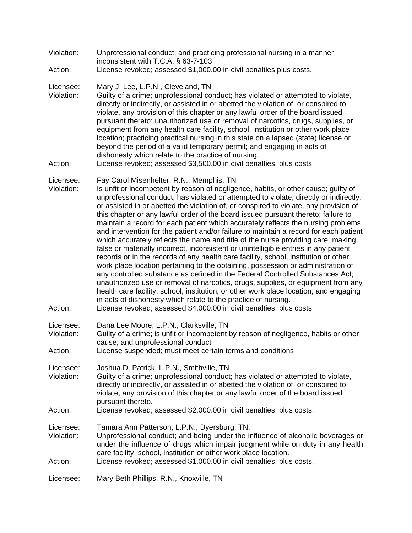| Violation: | Unprofessional conduct; and practicing professional nursing in a manner |
|------------|-------------------------------------------------------------------------|
|            | inconsistent with T.C.A. $\S$ 63-7-103                                  |

Action: License revoked; assessed \$1,000.00 in civil penalties plus costs.

#### Licensee: Mary J. Lee, L.P.N., Cleveland, TN

Violation: Guilty of a crime; unprofessional conduct; has violated or attempted to violate, directly or indirectly, or assisted in or abetted the violation of, or conspired to violate, any provision of this chapter or any lawful order of the board issued pursuant thereto; unauthorized use or removal of narcotics, drugs, supplies, or equipment from any health care facility, school, institution or other work place location; practicing practical nursing in this state on a lapsed (state) license or beyond the period of a valid temporary permit; and engaging in acts of dishonesty which relate to the practice of nursing.

Action: License revoked; assessed \$3,500.00 in civil penalties, plus costs

#### Licensee: Fay Carol Misenhelter, R.N., Memphis, TN

- Violation: Is unfit or incompetent by reason of negligence, habits, or other cause; guilty of unprofessional conduct; has violated or attempted to violate, directly or indirectly, or assisted in or abetted the violation of, or conspired to violate, any provision of this chapter or any lawful order of the board issued pursuant thereto; failure to maintain a record for each patient which accurately reflects the nursing problems and intervention for the patient and/or failure to maintain a record for each patient which accurately reflects the name and title of the nurse providing care; making false or materially incorrect, inconsistent or unintelligible entries in any patient records or in the records of any health care facility, school, institution or other work place location pertaining to the obtaining, possession or administration of any controlled substance as defined in the Federal Controlled Substances Act; unauthorized use or removal of narcotics, drugs, supplies, or equipment from any health care facility, school, institution, or other work place location; and engaging in acts of dishonesty which relate to the practice of nursing.
- Action: License revoked; assessed \$4,000.00 in civil penalties, plus costs

Licensee: Dana Lee Moore, L.P.N., Clarksville, TN<br>Violation: Guilty of a crime: is unfit or incompetent

- Guilty of a crime; is unfit or incompetent by reason of negligence, habits or other cause; and unprofessional conduct
- Action: License suspended; must meet certain terms and conditions

Licensee: Joshua D. Patrick, L.P.N., Smithville, TN

- Violation: Guilty of a crime; unprofessional conduct; has violated or attempted to violate, directly or indirectly, or assisted in or abetted the violation of, or conspired to violate, any provision of this chapter or any lawful order of the board issued pursuant thereto.
- Action: License revoked; assessed \$2,000.00 in civil penalties, plus costs.

Licensee: Tamara Ann Patterson, L.P.N., Dyersburg, TN.

- Violation: Unprofessional conduct; and being under the influence of alcoholic beverages or under the influence of drugs which impair judgment while on duty in any health care facility, school, institution or other work place location.
- Action: License revoked; assessed \$1,000.00 in civil penalties, plus costs.

Licensee: Mary Beth Phillips, R.N., Knoxville, TN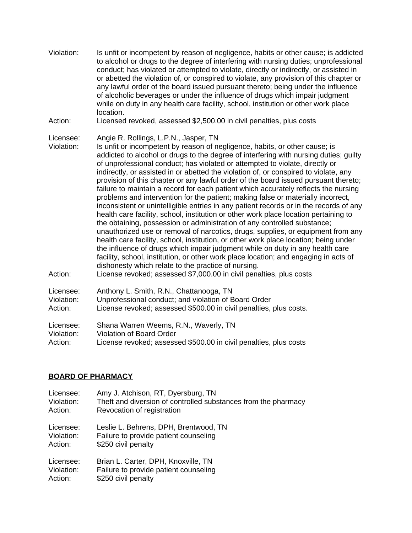| Violation:                         | Is unfit or incompetent by reason of negligence, habits or other cause; is addicted<br>to alcohol or drugs to the degree of interfering with nursing duties; unprofessional<br>conduct; has violated or attempted to violate, directly or indirectly, or assisted in<br>or abetted the violation of, or conspired to violate, any provision of this chapter or<br>any lawful order of the board issued pursuant thereto; being under the influence<br>of alcoholic beverages or under the influence of drugs which impair judgment<br>while on duty in any health care facility, school, institution or other work place<br>location.                                                                                                                                                                                                                                                                                                                                                                                                                                                                                                                                                                                                                                                                                             |
|------------------------------------|-----------------------------------------------------------------------------------------------------------------------------------------------------------------------------------------------------------------------------------------------------------------------------------------------------------------------------------------------------------------------------------------------------------------------------------------------------------------------------------------------------------------------------------------------------------------------------------------------------------------------------------------------------------------------------------------------------------------------------------------------------------------------------------------------------------------------------------------------------------------------------------------------------------------------------------------------------------------------------------------------------------------------------------------------------------------------------------------------------------------------------------------------------------------------------------------------------------------------------------------------------------------------------------------------------------------------------------|
| Action:                            | Licensed revoked, assessed \$2,500.00 in civil penalties, plus costs                                                                                                                                                                                                                                                                                                                                                                                                                                                                                                                                                                                                                                                                                                                                                                                                                                                                                                                                                                                                                                                                                                                                                                                                                                                              |
| Licensee:<br>Violation:            | Angie R. Rollings, L.P.N., Jasper, TN<br>Is unfit or incompetent by reason of negligence, habits, or other cause; is<br>addicted to alcohol or drugs to the degree of interfering with nursing duties; guilty<br>of unprofessional conduct; has violated or attempted to violate, directly or<br>indirectly, or assisted in or abetted the violation of, or conspired to violate, any<br>provision of this chapter or any lawful order of the board issued pursuant thereto;<br>failure to maintain a record for each patient which accurately reflects the nursing<br>problems and intervention for the patient; making false or materially incorrect,<br>inconsistent or unintelligible entries in any patient records or in the records of any<br>health care facility, school, institution or other work place location pertaining to<br>the obtaining, possession or administration of any controlled substance;<br>unauthorized use or removal of narcotics, drugs, supplies, or equipment from any<br>health care facility, school, institution, or other work place location; being under<br>the influence of drugs which impair judgment while on duty in any health care<br>facility, school, institution, or other work place location; and engaging in acts of<br>dishonesty which relate to the practice of nursing. |
| Action:                            | License revoked; assessed \$7,000.00 in civil penalties, plus costs                                                                                                                                                                                                                                                                                                                                                                                                                                                                                                                                                                                                                                                                                                                                                                                                                                                                                                                                                                                                                                                                                                                                                                                                                                                               |
| Licensee:<br>Violation:<br>Action: | Anthony L. Smith, R.N., Chattanooga, TN<br>Unprofessional conduct; and violation of Board Order<br>License revoked; assessed \$500.00 in civil penalties, plus costs.                                                                                                                                                                                                                                                                                                                                                                                                                                                                                                                                                                                                                                                                                                                                                                                                                                                                                                                                                                                                                                                                                                                                                             |
| Licensee:<br>Violation:<br>Action: | Shana Warren Weems, R.N., Waverly, TN<br><b>Violation of Board Order</b><br>License revoked; assessed \$500.00 in civil penalties, plus costs                                                                                                                                                                                                                                                                                                                                                                                                                                                                                                                                                                                                                                                                                                                                                                                                                                                                                                                                                                                                                                                                                                                                                                                     |

## **BOARD OF PHARMACY**

| Licensee:  | Amy J. Atchison, RT, Dyersburg, TN                             |
|------------|----------------------------------------------------------------|
| Violation: | Theft and diversion of controlled substances from the pharmacy |
| Action:    | Revocation of registration                                     |
| Licensee:  | Leslie L. Behrens, DPH, Brentwood, TN                          |
| Violation: | Failure to provide patient counseling                          |
| Action:    | \$250 civil penalty                                            |
| Licensee:  | Brian L. Carter, DPH, Knoxville, TN                            |
| Violation: | Failure to provide patient counseling                          |
| Action:    | \$250 civil penalty                                            |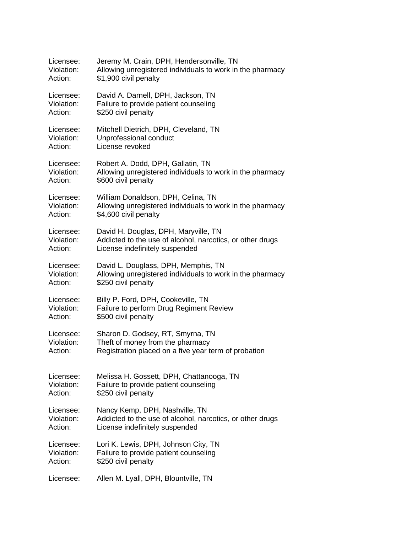| Licensee:  | Jeremy M. Crain, DPH, Hendersonville, TN                  |
|------------|-----------------------------------------------------------|
| Violation: | Allowing unregistered individuals to work in the pharmacy |
| Action:    | \$1,900 civil penalty                                     |
| Licensee:  | David A. Darnell, DPH, Jackson, TN                        |
| Violation: | Failure to provide patient counseling                     |
| Action:    | \$250 civil penalty                                       |
| Licensee:  | Mitchell Dietrich, DPH, Cleveland, TN                     |
| Violation: | Unprofessional conduct                                    |
| Action:    | License revoked                                           |
| Licensee:  | Robert A. Dodd, DPH, Gallatin, TN                         |
| Violation: | Allowing unregistered individuals to work in the pharmacy |
| Action:    | \$600 civil penalty                                       |
| Licensee:  | William Donaldson, DPH, Celina, TN                        |
| Violation: | Allowing unregistered individuals to work in the pharmacy |
| Action:    | \$4,600 civil penalty                                     |
| Licensee:  | David H. Douglas, DPH, Maryville, TN                      |
| Violation: | Addicted to the use of alcohol, narcotics, or other drugs |
| Action:    | License indefinitely suspended                            |
| Licensee:  | David L. Douglass, DPH, Memphis, TN                       |
| Violation: | Allowing unregistered individuals to work in the pharmacy |
| Action:    | \$250 civil penalty                                       |
| Licensee:  | Billy P. Ford, DPH, Cookeville, TN                        |
| Violation: | Failure to perform Drug Regiment Review                   |
| Action:    | \$500 civil penalty                                       |
| Licensee:  | Sharon D. Godsey, RT, Smyrna, TN                          |
| Violation: | Theft of money from the pharmacy                          |
| Action:    | Registration placed on a five year term of probation      |
| Licensee:  | Melissa H. Gossett, DPH, Chattanooga, TN                  |
| Violation: | Failure to provide patient counseling                     |
| Action:    | \$250 civil penalty                                       |
| Licensee:  | Nancy Kemp, DPH, Nashville, TN                            |
| Violation: | Addicted to the use of alcohol, narcotics, or other drugs |
| Action:    | License indefinitely suspended                            |
| Licensee:  | Lori K. Lewis, DPH, Johnson City, TN                      |
| Violation: | Failure to provide patient counseling                     |
| Action:    | \$250 civil penalty                                       |
| Licensee:  | Allen M. Lyall, DPH, Blountville, TN                      |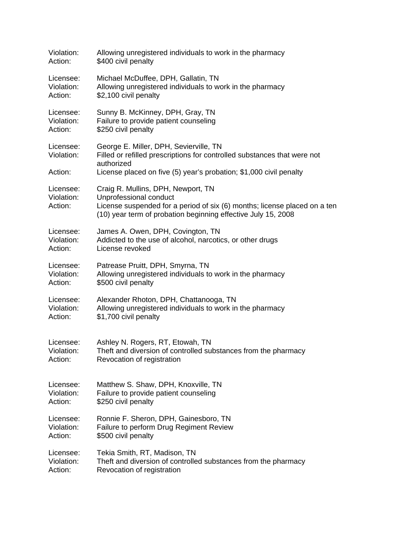| Violation:                         | Allowing unregistered individuals to work in the pharmacy                                                                                                                                                  |
|------------------------------------|------------------------------------------------------------------------------------------------------------------------------------------------------------------------------------------------------------|
| Action:                            | \$400 civil penalty                                                                                                                                                                                        |
| Licensee:                          | Michael McDuffee, DPH, Gallatin, TN                                                                                                                                                                        |
| Violation:                         | Allowing unregistered individuals to work in the pharmacy                                                                                                                                                  |
| Action:                            | \$2,100 civil penalty                                                                                                                                                                                      |
| Licensee:                          | Sunny B. McKinney, DPH, Gray, TN                                                                                                                                                                           |
| Violation:                         | Failure to provide patient counseling                                                                                                                                                                      |
| Action:                            | \$250 civil penalty                                                                                                                                                                                        |
| Licensee:<br>Violation:<br>Action: | George E. Miller, DPH, Sevierville, TN<br>Filled or refilled prescriptions for controlled substances that were not<br>authorized<br>License placed on five (5) year's probation; \$1,000 civil penalty     |
| Licensee:<br>Violation:<br>Action: | Craig R. Mullins, DPH, Newport, TN<br>Unprofessional conduct<br>License suspended for a period of six (6) months; license placed on a ten<br>(10) year term of probation beginning effective July 15, 2008 |
| Licensee:                          | James A. Owen, DPH, Covington, TN                                                                                                                                                                          |
| Violation:                         | Addicted to the use of alcohol, narcotics, or other drugs                                                                                                                                                  |
| Action:                            | License revoked                                                                                                                                                                                            |
| Licensee:                          | Patrease Pruitt, DPH, Smyrna, TN                                                                                                                                                                           |
| Violation:                         | Allowing unregistered individuals to work in the pharmacy                                                                                                                                                  |
| Action:                            | \$500 civil penalty                                                                                                                                                                                        |
| Licensee:                          | Alexander Rhoton, DPH, Chattanooga, TN                                                                                                                                                                     |
| Violation:                         | Allowing unregistered individuals to work in the pharmacy                                                                                                                                                  |
| Action:                            | \$1,700 civil penalty                                                                                                                                                                                      |
| Licensee:                          | Ashley N. Rogers, RT, Etowah, TN                                                                                                                                                                           |
| Violation:                         | Theft and diversion of controlled substances from the pharmacy                                                                                                                                             |
| Action:                            | Revocation of registration                                                                                                                                                                                 |
| Licensee:                          | Matthew S. Shaw, DPH, Knoxville, TN                                                                                                                                                                        |
| Violation:                         | Failure to provide patient counseling                                                                                                                                                                      |
| Action:                            | \$250 civil penalty                                                                                                                                                                                        |
| Licensee:                          | Ronnie F. Sheron, DPH, Gainesboro, TN                                                                                                                                                                      |
| Violation:                         | Failure to perform Drug Regiment Review                                                                                                                                                                    |
| Action:                            | \$500 civil penalty                                                                                                                                                                                        |
| Licensee:                          | Tekia Smith, RT, Madison, TN                                                                                                                                                                               |
| Violation:                         | Theft and diversion of controlled substances from the pharmacy                                                                                                                                             |
| Action:                            | Revocation of registration                                                                                                                                                                                 |